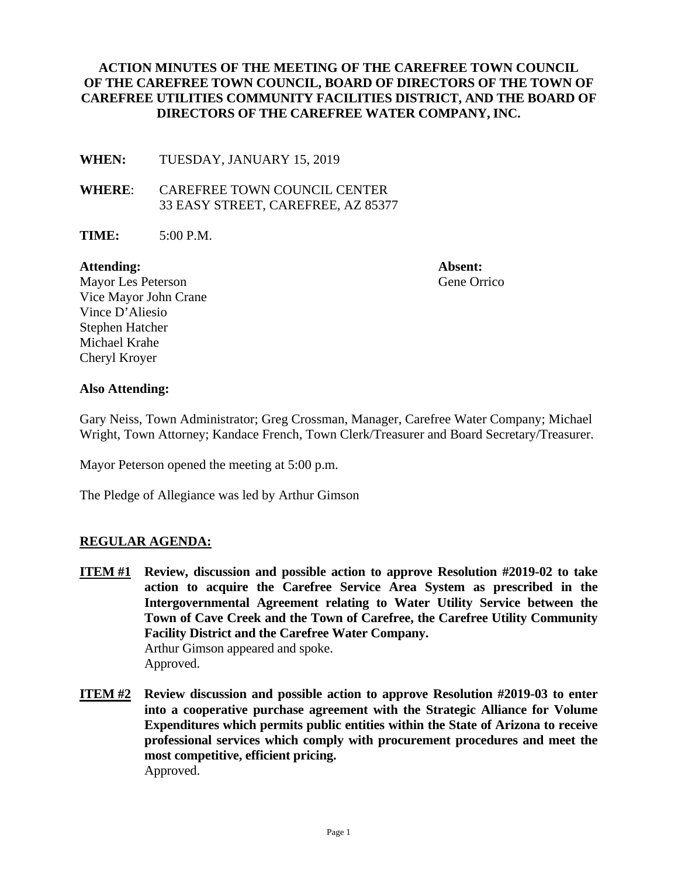## **ACTION MINUTES OF THE MEETING OF THE CAREFREE TOWN COUNCIL OF THE CAREFREE TOWN COUNCIL, BOARD OF DIRECTORS OF THE TOWN OF CAREFREE UTILITIES COMMUNITY FACILITIES DISTRICT, AND THE BOARD OF DIRECTORS OF THE CAREFREE WATER COMPANY, INC.**

**WHEN:** TUESDAY, JANUARY 15, 2019

**WHERE**: CAREFREE TOWN COUNCIL CENTER 33 EASY STREET, CAREFREE, AZ 85377

**TIME:** 5:00 P.M.

#### Attending: **Absent: Absent:**

Mayor Les Peterson **Gene** Orrico Vice Mayor John Crane Vince D'Aliesio Stephen Hatcher Michael Krahe Cheryl Kroyer

### **Also Attending:**

Gary Neiss, Town Administrator; Greg Crossman, Manager, Carefree Water Company; Michael Wright, Town Attorney; Kandace French, Town Clerk/Treasurer and Board Secretary/Treasurer.

Mayor Peterson opened the meeting at 5:00 p.m.

The Pledge of Allegiance was led by Arthur Gimson

### **REGULAR AGENDA:**

- **ITEM #1 Review, discussion and possible action to approve Resolution #2019-02 to take action to acquire the Carefree Service Area System as prescribed in the Intergovernmental Agreement relating to Water Utility Service between the Town of Cave Creek and the Town of Carefree, the Carefree Utility Community Facility District and the Carefree Water Company.**  Arthur Gimson appeared and spoke. Approved.
- **ITEM #2 Review discussion and possible action to approve Resolution #2019-03 to enter into a cooperative purchase agreement with the Strategic Alliance for Volume Expenditures which permits public entities within the State of Arizona to receive professional services which comply with procurement procedures and meet the most competitive, efficient pricing.**  Approved.